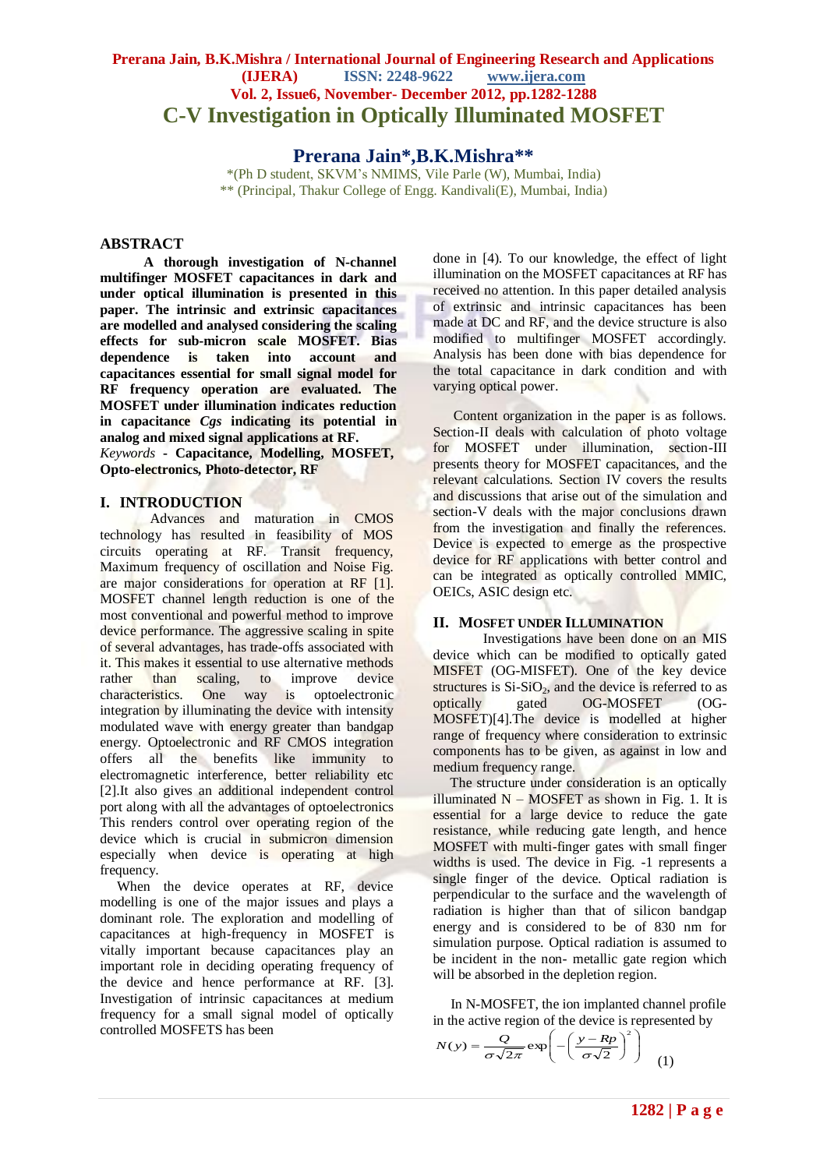# **Prerana Jain, B.K.Mishra / International Journal of Engineering Research and Applications (IJERA) ISSN: 2248-9622 www.ijera.com Vol. 2, Issue6, November- December 2012, pp.1282-1288 C-V Investigation in Optically Illuminated MOSFET**

**Prerana Jain\*,B.K.Mishra\*\***

\*(Ph D student, SKVM's NMIMS, Vile Parle (W), Mumbai, India) \*\* (Principal, Thakur College of Engg. Kandivali(E), Mumbai, India)

#### **ABSTRACT**

**A thorough investigation of N-channel multifinger MOSFET capacitances in dark and under optical illumination is presented in this paper. The intrinsic and extrinsic capacitances are modelled and analysed considering the scaling effects for sub-micron scale MOSFET. Bias dependence is taken into account and capacitances essential for small signal model for RF frequency operation are evaluated. The MOSFET under illumination indicates reduction in capacitance** *Cgs* **indicating its potential in analog and mixed signal applications at RF.** *Keywords* **- Capacitance, Modelling, MOSFET, Opto-electronics, Photo-detector, RF** 

#### **I. INTRODUCTION**

Advances and maturation in CMOS technology has resulted in feasibility of MOS circuits operating at RF. Transit frequency, Maximum frequency of oscillation and Noise Fig. are major considerations for operation at RF [1]. MOSFET channel length reduction is one of the most conventional and powerful method to improve device performance. The aggressive scaling in spite of several advantages, has trade-offs associated with it. This makes it essential to use alternative methods rather than scaling, to improve device characteristics. One way is optoelectronic integration by illuminating the device with intensity modulated wave with energy greater than bandgap energy. Optoelectronic and RF CMOS integration offers all the benefits like immunity to electromagnetic interference, better reliability etc [2].It also gives an additional independent control port along with all the advantages of optoelectronics This renders control over operating region of the device which is crucial in submicron dimension especially when device is operating at high frequency.

 When the device operates at RF, device modelling is one of the major issues and plays a dominant role. The exploration and modelling of capacitances at high-frequency in MOSFET is vitally important because capacitances play an important role in deciding operating frequency of the device and hence performance at RF. [3]. Investigation of intrinsic capacitances at medium frequency for a small signal model of optically controlled MOSFETS has been

done in [4). To our knowledge, the effect of light illumination on the MOSFET capacitances at RF has received no attention. In this paper detailed analysis of extrinsic and intrinsic capacitances has been made at DC and RF, and the device structure is also modified to multifinger MOSFET accordingly. Analysis has been done with bias dependence for the total capacitance in dark condition and with varying optical power.

 Content organization in the paper is as follows. Section-II deals with calculation of photo voltage for MOSFET under illumination, section-III presents theory for MOSFET capacitances, and the relevant calculations. Section IV covers the results and discussions that arise out of the simulation and section-V deals with the major conclusions drawn from the investigation and finally the references. Device is expected to emerge as the prospective device for RF applications with better control and can be integrated as optically controlled MMIC, OEICs, ASIC design etc.

#### **II. MOSFET UNDER ILLUMINATION**

Investigations have been done on an MIS device which can be modified to optically gated MISFET (OG-MISFET). One of the key device structures is  $Si-SiO<sub>2</sub>$ , and the device is referred to as<br>optically gated OG-MOSFET (OGoptically gated OG-MOSFET (OG-MOSFET)[4].The device is modelled at higher range of frequency where consideration to extrinsic components has to be given, as against in low and medium frequency range.

 The structure under consideration is an optically illuminated  $N - MOSFET$  as shown in Fig. 1. It is essential for a large device to reduce the gate resistance, while reducing gate length, and hence MOSFET with multi-finger gates with small finger widths is used. The device in Fig. -1 represents a single finger of the device. Optical radiation is perpendicular to the surface and the wavelength of radiation is higher than that of silicon bandgap energy and is considered to be of 830 nm for simulation purpose. Optical radiation is assumed to be incident in the non- metallic gate region which will be absorbed in the depletion region.

 In N-MOSFET, the ion implanted channel profile in the active region of the device is represented by

$$
N(y) = \frac{Q}{\sigma \sqrt{2\pi}} \exp\left(-\left(\frac{y - Rp}{\sigma \sqrt{2}}\right)^2\right)
$$
 (1)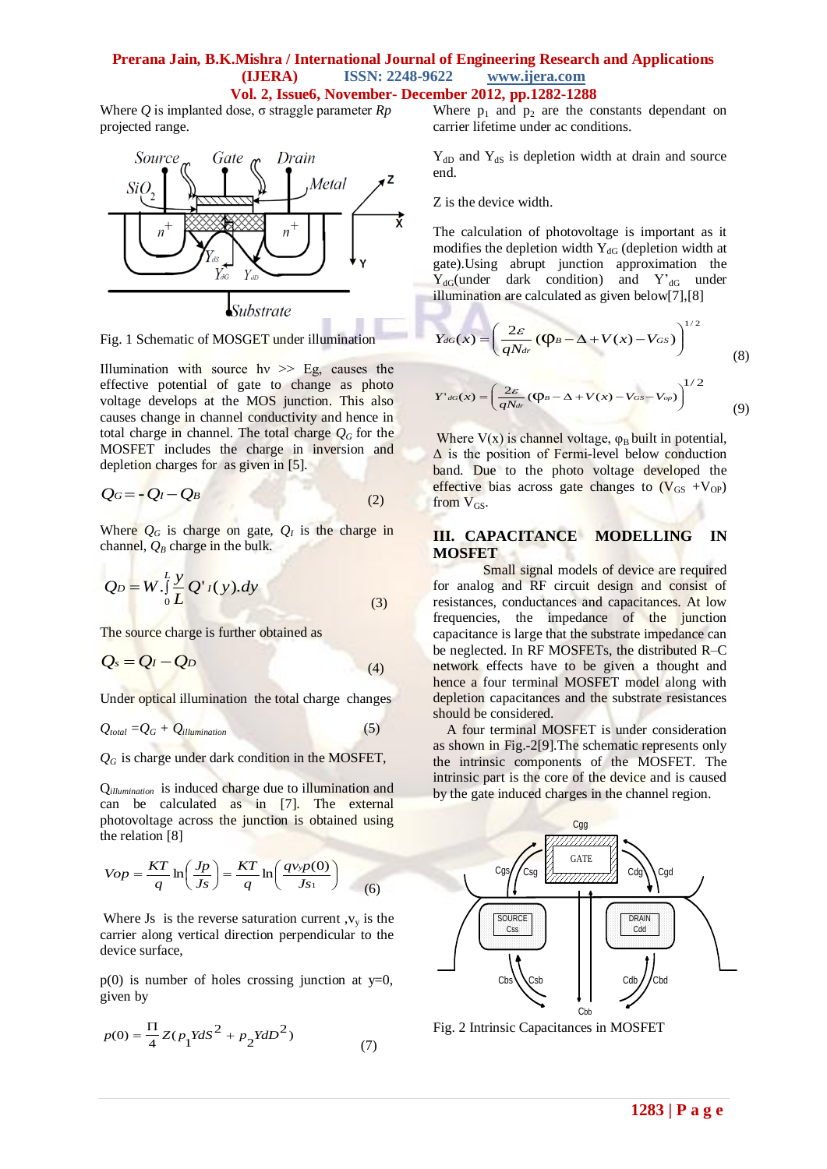Where *Q* is implanted dose, σ straggle parameter *Rp* projected range.



Fig. 1 Schematic of MOSGET under illumination

Illumination with source  $h\nu \gg Eg$ , causes the effective potential of gate to change as photo voltage develops at the MOS junction. This also causes change in channel conductivity and hence in total charge in channel. The total charge  $Q_G$  for the MOSFET includes the charge in inversion and depletion charges for as given in [5].

$$
Q_G = -Q_I - Q_B \tag{2}
$$

Where  $Q_G$  is charge on gate,  $Q_I$  is the charge in channel,  $Q_B$  charge in the bulk.

$$
Q_D = W \int_{0}^{L} \frac{y}{L} Q' \, I(y) \, dy \tag{3}
$$

The source charge is further obtained as

$$
Q_s = Q_l - Q_D \tag{4}
$$

Under optical illumination the total charge changes

$$
Q_{total} = Q_G + Q_{illumination}
$$
 (5)

 $Q_G$  is charge under dark condition in the MOSFET,

Q*illumination* is induced charge due to illumination and can be calculated as in [7]. The external photovoltage across the junction is obtained using the relation [8]

$$
Vop = \frac{KT}{q} \ln \left( \frac{Jp}{Js} \right) = \frac{KT}{q} \ln \left( \frac{qv_yp(0)}{Js_1} \right)
$$
(6)

Where Js is the reverse saturation current , $v_y$  is the carrier along vertical direction perpendicular to the device surface,

 $p(0)$  is number of holes crossing junction at  $y=0$ , given by

$$
p(0) = \frac{\Pi}{4} Z (p_1 Y dS^2 + p_2 Y dD^2)
$$
 (7)

Where  $p_1$  and  $p_2$  are the constants dependant on carrier lifetime under ac conditions.

 $Y<sub>dD</sub>$  and  $Y<sub>dS</sub>$  is depletion width at drain and source end.

#### Z is the device width.

The calculation of photovoltage is important as it modifies the depletion width  $Y_{\text{dG}}$  (depletion width at gate).Using abrupt junction approximation the  $Y_{dG}(under \t\t aark \t\t condition)$  and  $Y'_{dG}$  under illumination are calculated as given below[7],[8]

$$
Y_{dG}(x) = \left(\frac{2\varepsilon}{qN_{dr}}\left(\Phi_B - \Delta + V(x) - V_{GS}\right)\right)^{1/2}
$$
\n(8)

$$
Y'_{dG}(x) = \left(\frac{2\varepsilon}{qN_{dr}}\left(\mathbf{\Phi}_B - \Delta + V(x) - V_{GS} - V_{op}\right)\right)^{1/2}
$$
(9)

Where  $V(x)$  is channel voltage,  $\varphi_B$  built in potential,  $\Delta$  is the position of Fermi-level below conduction band. Due to the photo voltage developed the effective bias across gate changes to  $(V_{GS} + V_{OP})$ from  $V_{GS}$ .

# **III. CAPACITANCE MODELLING IN MOSFET**

Small signal models of device are required for analog and RF circuit design and consist of resistances, conductances and capacitances. At low frequencies, the impedance of the junction capacitance is large that the substrate impedance can be neglected. In RF MOSFETs, the distributed R–C network effects have to be given a thought and hence a four terminal MOSFET model along with depletion capacitances and the substrate resistances should be considered.

 A four terminal MOSFET is under consideration as shown in Fig.-2[9].The schematic represents only the intrinsic components of the MOSFET. The intrinsic part is the core of the device and is caused by the gate induced charges in the channel region.



Fig. 2 Intrinsic Capacitances in MOSFET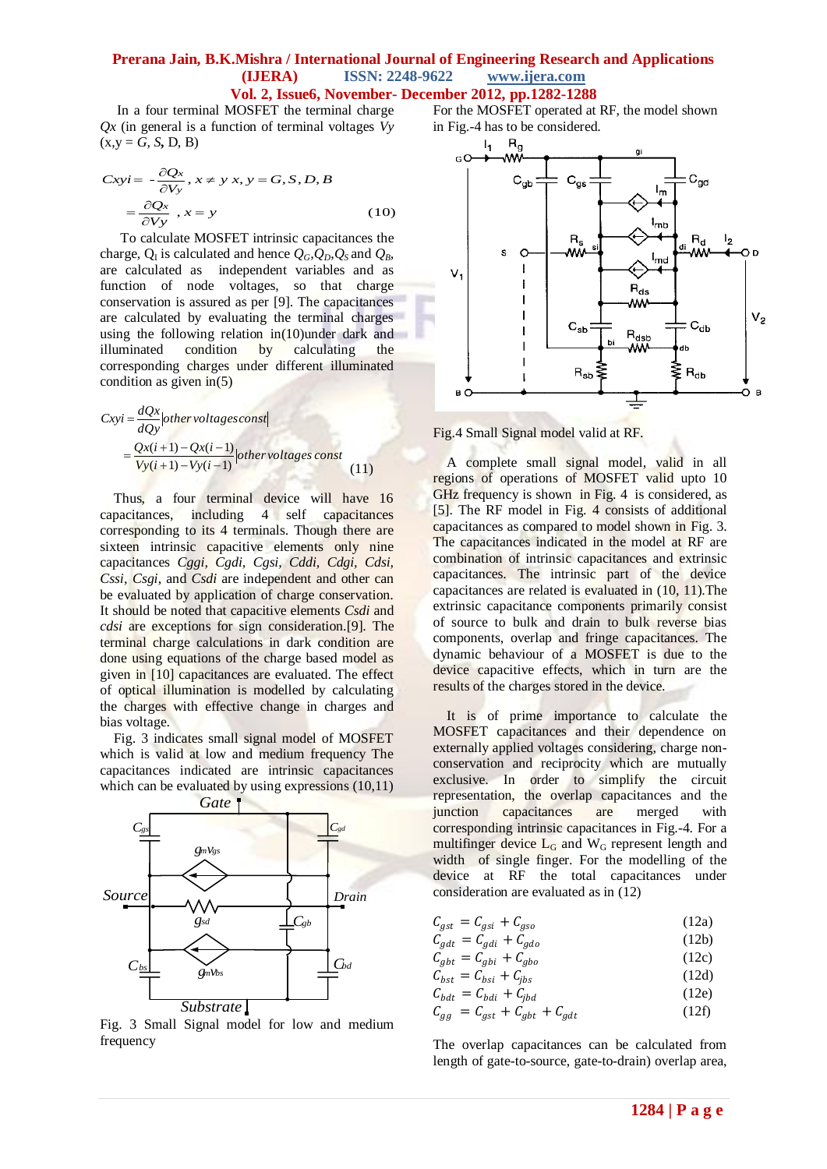In a four terminal MOSFET the terminal charge *Qx* (in general is a function of terminal voltages *Vy*  $(x,y = G, S, D, B)$ 

$$
Cxyi = -\frac{\partial Qx}{\partial V_y}, x \neq y \ x, y = G, S, D, B
$$

$$
= \frac{\partial Qx}{\partial V_y}, x = y \tag{10}
$$

 conservation is assured as per [9]. The capacitances To calculate MOSFET intrinsic capacitances the charge,  $Q_I$  is calculated and hence  $Q_G$ ,  $Q_D$ ,  $Q_S$  and  $Q_B$ , are calculated as independent variables and as function of node voltages, so that charge are calculated by evaluating the terminal charges using the following relation in(10)under dark and illuminated condition by calculating the corresponding charges under different illuminated condition as given in(5)

$$
Cxyi = \frac{dQx}{dQy} |other voltagesconst|
$$
  
= 
$$
\frac{Qx(i+1) - Qx(i-1)}{Vy(i+1) - Vy(i-1)} |other voltages const
$$
 (11)

Thus, a four terminal device will have 16 capacitances, including 4 self capacitances corresponding to its 4 terminals. Though there are sixteen intrinsic capacitive elements only nine capacitances *Cggi, Cgdi, Cgsi, Cddi, Cdgi, Cdsi, Cssi, Csgi*, and *Csdi* are independent and other can be evaluated by application of charge conservation. It should be noted that capacitive elements *Csdi* and *cdsi* are exceptions for sign consideration.[9]. The terminal charge calculations in dark condition are done using equations of the charge based model as given in [10] capacitances are evaluated. The effect of optical illumination is modelled by calculating the charges with effective change in charges and bias voltage.

 Fig. 3 indicates small signal model of MOSFET which is valid at low and medium frequency The capacitances indicated are intrinsic capacitances which can be evaluated by using expressions  $(10,11)$ 



Fig. 3 Small Signal model for low and medium frequency

For the MOSFET operated at RF, the model shown in Fig.-4 has to be considered.



Fig.4 Small Signal model valid at RF.

 A complete small signal model, valid in all regions of operations of MOSFET valid upto 10 GHz frequency is shown in Fig. 4 is considered, as [5]. The RF model in Fig. 4 consists of additional capacitances as compared to model shown in Fig. 3. The capacitances indicated in the model at RF are combination of intrinsic capacitances and extrinsic capacitances. The intrinsic part of the device capacitances are related is evaluated in (10, 11).The extrinsic capacitance components primarily consist of source to bulk and drain to bulk reverse bias components, overlap and fringe capacitances. The dynamic behaviour of a MOSFET is due to the device capacitive effects, which in turn are the results of the charges stored in the device.

 It is of prime importance to calculate the MOSFET capacitances and their dependence on externally applied voltages considering, charge nonconservation and reciprocity which are mutually exclusive. In order to simplify the circuit representation, the overlap capacitances and the junction capacitances are merged with junction capacitances are merged with corresponding intrinsic capacitances in Fig.-4. For a multifinger device  $L_G$  and  $W_G$  represent length and width of single finger. For the modelling of the device at RF the total capacitances under consideration are evaluated as in (12)

$$
C_{gst} = C_{gsi} + C_{gso} \tag{12a}
$$

$$
C_{gdt} = C_{gdi} + C_{gdo} \tag{12b}
$$

$$
C_{gbt} = C_{gbi} + C_{gbo} \tag{12c}
$$

 $C_{bst} = C_{bsi} + C_{ibs}$ (12d)  $\pm c$  $(12e)$ 

$$
C_{gg} = C_{gst} + C_{gbt} + C_{gdt}
$$
\n(12f)

The overlap capacitances can be calculated from length of gate-to-source, gate-to-drain) overlap area,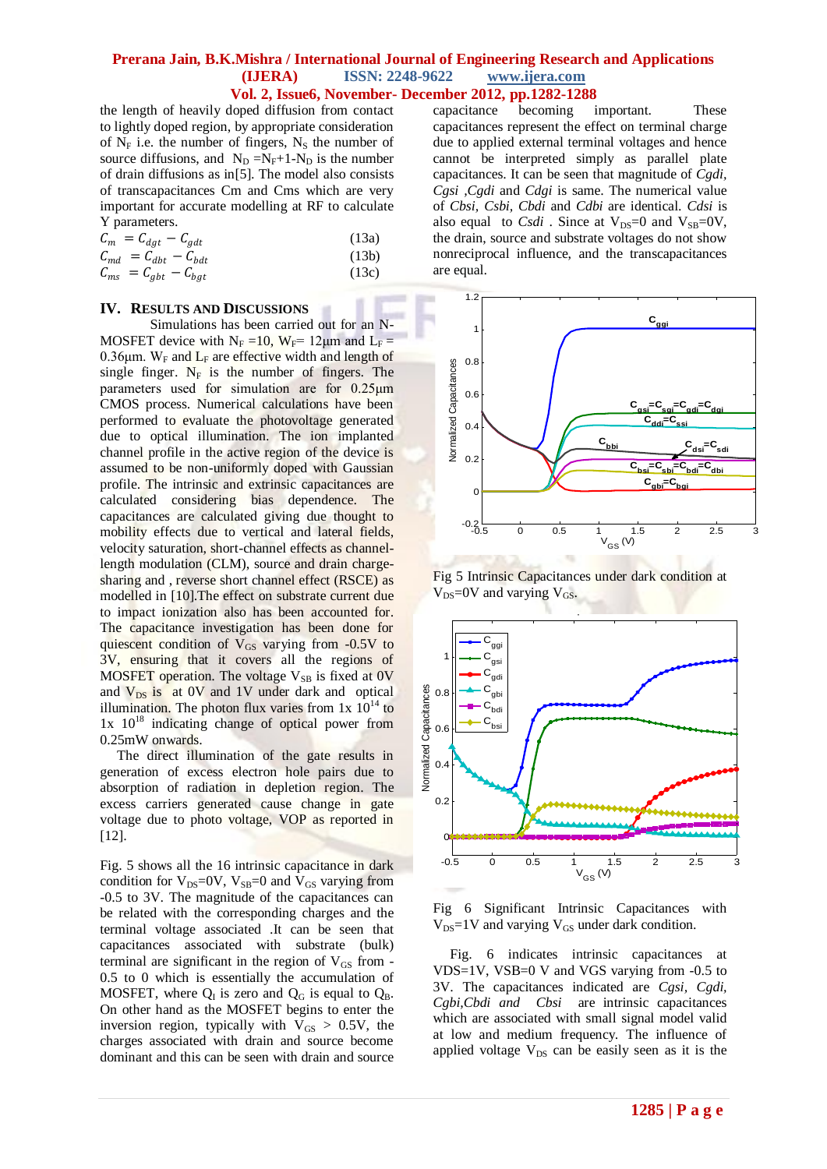the length of heavily doped diffusion from contact to lightly doped region, by appropriate consideration of  $N_F$  i.e. the number of fingers,  $N_S$  the number of source diffusions, and  $N_D = N_F + 1 - N_D$  is the number of drain diffusions as in[5]. The model also consists of transcapacitances Cm and Cms which are very important for accurate modelling at RF to calculate Y parameters.

| $C_m = C_{dgt} - C_{gdt}$    | (13a) |
|------------------------------|-------|
| $C_{md} = C_{dbt} - C_{bdt}$ | (13b) |
| $C_{ms} = C_{gbt} - C_{bgt}$ | (13c) |

#### **IV. RESULTS AND DISCUSSIONS**

Simulations has been carried out for an N-MOSFET device with  $N_F = 10$ ,  $W_F = 12 \mu m$  and  $L_F =$ 0.36 $\mu$ m. W<sub>F</sub> and  $L_F$  are effective width and length of single finger.  $N_F$  is the number of fingers. The parameters used for simulation are for 0.25μm CMOS process. Numerical calculations have been performed to evaluate the photovoltage generated due to optical illumination. The ion implanted channel profile in the active region of the device is assumed to be non-uniformly doped with Gaussian profile. The intrinsic and extrinsic capacitances are calculated considering bias dependence. The capacitances are calculated giving due thought to mobility effects due to vertical and lateral fields, velocity saturation, short-channel effects as channellength modulation (CLM), source and drain chargesharing and , reverse short channel effect (RSCE) as modelled in [10].The effect on substrate current due to impact ionization also has been accounted for. The capacitance investigation has been done for quiescent condition of  $V_{GS}$  varying from -0.5V to 3V, ensuring that it covers all the regions of MOSFET operation. The voltage  $V_{SB}$  is fixed at 0V and  $V_{DS}$  is at 0V and 1V under dark and optical illumination. The photon flux varies from  $1x \frac{10^{14}}{10}$  to  $1x$   $10^{18}$  indicating change of optical power from 0.25mW onwards.

 The direct illumination of the gate results in generation of excess electron hole pairs due to absorption of radiation in depletion region. The excess carriers generated cause change in gate voltage due to photo voltage, VOP as reported in [12].

Fig. 5 shows all the 16 intrinsic capacitance in dark condition for  $V_{DS}=0V$ ,  $V_{SB}=0$  and  $V_{GS}$  varying from -0.5 to 3V. The magnitude of the capacitances can be related with the corresponding charges and the terminal voltage associated .It can be seen that capacitances associated with substrate (bulk) terminal are significant in the region of  $V_{GS}$  from -0.5 to 0 which is essentially the accumulation of MOSFET, where  $Q_I$  is zero and  $Q_G$  is equal to  $Q_B$ . On other hand as the MOSFET begins to enter the inversion region, typically with  $V_{GS} > 0.5V$ , the charges associated with drain and source become dominant and this can be seen with drain and source

capacitance becoming important. These capacitances represent the effect on terminal charge due to applied external terminal voltages and hence cannot be interpreted simply as parallel plate capacitances. It can be seen that magnitude of *Cgdi, Cgsi ,Cgdi* and *Cdgi* is same. The numerical value of *Cbsi, Csbi, Cbdi* and *Cdbi* are identical. *Cdsi* is also equal to *Csdi* . Since at  $V_{DS}=0$  and  $V_{SB}=0V$ , the drain, source and substrate voltages do not show nonreciprocal influence, and the transcapacitances are equal.



Fig 5 Intrinsic Capacitances under dark condition at  $V_{DS}=0V$  and varying  $V_{GS}$ .



Fig 6 Significant Intrinsic Capacitances with  $V_{DS}=1V$  and varying  $V_{GS}$  under dark condition.

 Fig. 6 indicates intrinsic capacitances at VDS=1V, VSB=0 V and VGS varying from -0.5 to 3V. The capacitances indicated are *Cgsi, Cgdi, Cgbi,Cbdi and Cbsi* are intrinsic capacitances which are associated with small signal model valid at low and medium frequency. The influence of applied voltage  $V_{DS}$  can be easily seen as it is the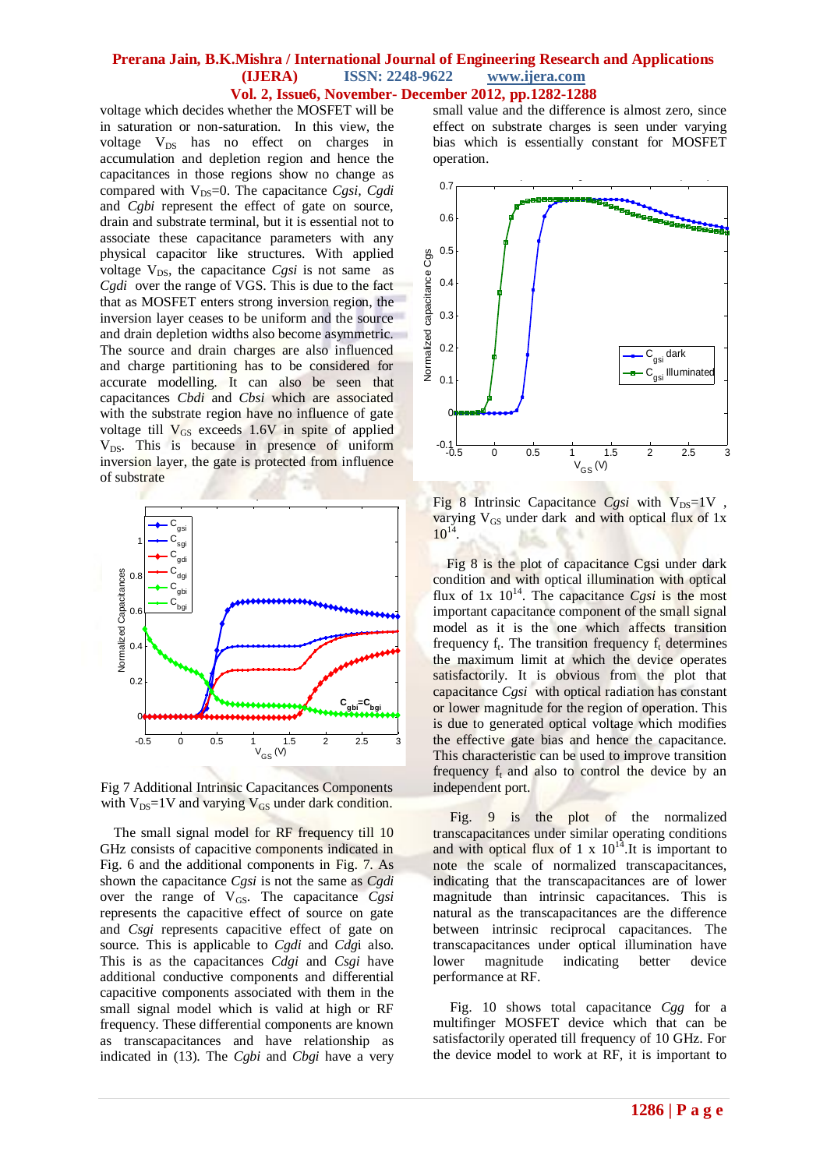voltage which decides whether the MOSFET will be in saturation or non-saturation. In this view, the voltage V<sub>DS</sub> has no effect on charges in accumulation and depletion region and hence the capacitances in those regions show no change as compared with V<sub>DS</sub>=0. The capacitance *Cgsi, Cgdi* and *Cgbi* represent the effect of gate on source, drain and substrate terminal, but it is essential not to associate these capacitance parameters with any physical capacitor like structures. With applied voltage  $V_{DS}$ , the capacitance *Cgsi* is not same as *Cgdi* over the range of VGS. This is due to the fact that as MOSFET enters strong inversion region, the inversion layer ceases to be uniform and the source and drain depletion widths also become asymmetric. The source and drain charges are also influenced and charge partitioning has to be considered for accurate modelling. It can also be seen that capacitances *Cbdi* and *Cbsi* which are associated with the substrate region have no influence of gate voltage till  $V_{GS}$  exceeds 1.6V in spite of applied  $V_{DS}$ . This is because in presence of uniform inversion layer, the gate is protected from influence of substrate



Fig 7 Additional Intrinsic Capacitances Components with  $V_{DS}=1V$  and varying  $V_{GS}$  under dark condition.

 The small signal model for RF frequency till 10 GHz consists of capacitive components indicated in Fig. 6 and the additional components in Fig. 7. As shown the capacitance *Cgsi* is not the same as *Cgdi* over the range of V<sub>GS</sub>. The capacitance *Cgsi* represents the capacitive effect of source on gate and *Csgi* represents capacitive effect of gate on source. This is applicable to *Cgdi* and *Cdg*i also. This is as the capacitances *Cdgi* and *Csgi* have additional conductive components and differential capacitive components associated with them in the small signal model which is valid at high or RF frequency. These differential components are known as transcapacitances and have relationship as indicated in (13). The *Cgbi* and *Cbgi* have a very small value and the difference is almost zero, since effect on substrate charges is seen under varying bias which is essentially constant for MOSFET operation.



Fig 8 Intrinsic Capacitance  $Cgsi$  with  $V_{DS}=1V$ , varying  $V_{GS}$  under dark and with optical flux of 1x  $10^{14}$ .

 Fig 8 is the plot of capacitance Cgsi under dark condition and with optical illumination with optical flux of  $1x$   $10^{14}$ . The capacitance *Cgsi* is the most important capacitance component of the small signal model as it is the one which affects transition frequency  $f_t$ . The transition frequency  $f_t$  determines the maximum limit at which the device operates satisfactorily. It is obvious from the plot that capacitance *Cgsi* with optical radiation has constant or lower magnitude for the region of operation. This is due to generated optical voltage which modifies the effective gate bias and hence the capacitance. This characteristic can be used to improve transition frequency  $f_t$  and also to control the device by an independent port.

 Fig. 9 is the plot of the normalized transcapacitances under similar operating conditions and with optical flux of 1 x  $10^{14}$ . It is important to note the scale of normalized transcapacitances, indicating that the transcapacitances are of lower magnitude than intrinsic capacitances. This is natural as the transcapacitances are the difference between intrinsic reciprocal capacitances. The transcapacitances under optical illumination have lower magnitude indicating better device performance at RF.

 Fig. 10 shows total capacitance *Cgg* for a multifinger MOSFET device which that can be satisfactorily operated till frequency of 10 GHz. For the device model to work at RF, it is important to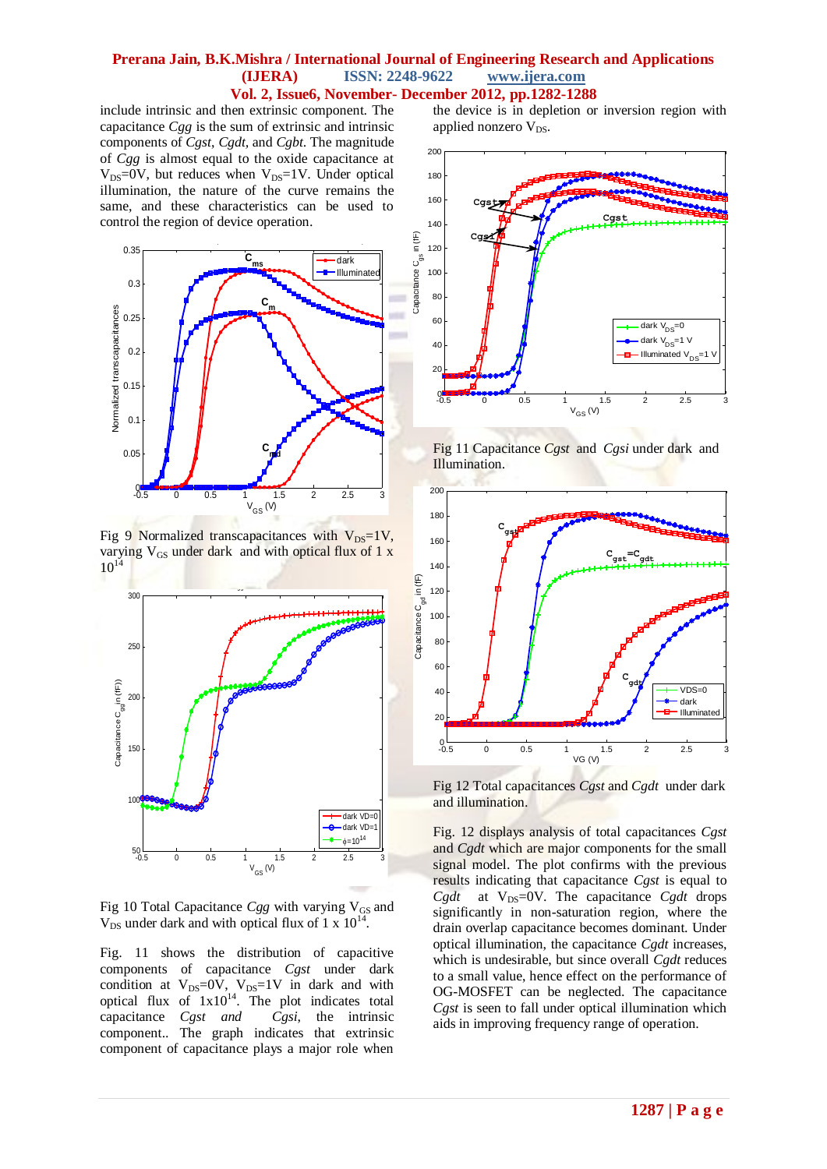include intrinsic and then extrinsic component. The capacitance *Cgg* is the sum of extrinsic and intrinsic components of *Cgst*, *Cgdt,* and *Cgbt*. The magnitude of *Cgg* is almost equal to the oxide capacitance at  $V_{DS}=0V$ , but reduces when  $V_{DS}=1V$ . Under optical illumination, the nature of the curve remains the same, and these characteristics can be used to control the region of device operation.



Fig 9 Normalized transcapacitances with  $V_{DS}=1V$ , varying  $V_{GS}$  under dark and with optical flux of 1 x  $10^{14}$ 



Fig 10 Total Capacitance  $Cgg$  with varying  $V_{GS}$  and  $V_{DS}$  under dark and with optical flux of 1 x  $10^{14}$ .

Fig. 11 shows the distribution of capacitive components of capacitance *Cgst* under dark condition at  $V_{DS}=0V$ ,  $V_{DS}=1V$  in dark and with optical flux of  $1x10^{14}$ . The plot indicates total capacitance *Cgst and Cgsi*, the intrinsic component.. The graph indicates that extrinsic component of capacitance plays a major role when

the device is in depletion or inversion region with applied nonzero  $V_{DS}$ .



Fig 11 Capacitance *Cgst* and *Cgsi* under dark and Illumination.



Fig 12 Total capacitances *Cgst* and *Cgdt* under dark and illumination.

Fig. 12 displays analysis of total capacitances *Cgst* and *Cgdt* which are major components for the small signal model. The plot confirms with the previous results indicating that capacitance *Cgst* is equal to  $Cgdt$  at  $V_{DS}=0V$ . The capacitance  $Cgdt$  drops significantly in non-saturation region, where the drain overlap capacitance becomes dominant. Under optical illumination, the capacitance *Cgdt* increases, which is undesirable, but since overall *Cgdt* reduces to a small value, hence effect on the performance of OG-MOSFET can be neglected. The capacitance *Cgst* is seen to fall under optical illumination which aids in improving frequency range of operation.